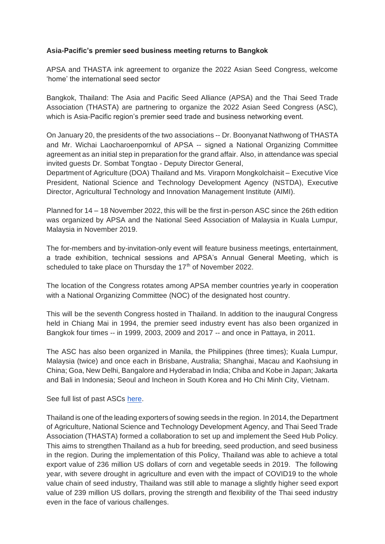## **Asia-Pacific's premier seed business meeting returns to Bangkok**

APSA and THASTA ink agreement to organize the 2022 Asian Seed Congress, welcome 'home' the international seed sector

Bangkok, Thailand: The Asia and Pacific Seed Alliance (APSA) and the Thai Seed Trade Association (THASTA) are partnering to organize the 2022 Asian Seed Congress (ASC), which is Asia-Pacific region's premier seed trade and business networking event.

On January 20, the presidents of the two associations -- Dr. Boonyanat Nathwong of THASTA and Mr. Wichai Laocharoenpornkul of APSA -- signed a National Organizing Committee agreement as an initial step in preparation for the grand affair. Also, in attendance was special invited guests Dr. Sombat Tongtao - Deputy Director General,

Department of Agriculture (DOA) Thailand and Ms. Viraporn Mongkolchaisit – Executive Vice President, National Science and Technology Development Agency (NSTDA), Executive Director, Agricultural Technology and Innovation Management Institute (AIMI).

Planned for 14 – 18 November 2022, this will be the first in-person ASC since the 26th edition was organized by APSA and the National Seed Association of Malaysia in Kuala Lumpur, Malaysia in November 2019.

The for-members and by-invitation-only event will feature business meetings, entertainment, a trade exhibition, technical sessions and APSA's Annual General Meeting, which is scheduled to take place on Thursday the 17<sup>th</sup> of November 2022.

The location of the Congress rotates among APSA member countries yearly in cooperation with a National Organizing Committee (NOC) of the designated host country.

This will be the seventh Congress hosted in Thailand. In addition to the inaugural Congress held in Chiang Mai in 1994, the premier seed industry event has also been organized in Bangkok four times -- in 1999, 2003, 2009 and 2017 -- and once in Pattaya, in 2011.

The ASC has also been organized in Manila, the Philippines (three times); Kuala Lumpur, Malaysia (twice) and once each in Brisbane, Australia; Shanghai, Macau and Kaohsiung in China; Goa, New Delhi, Bangalore and Hyderabad in India; Chiba and Kobe in Japan; Jakarta and Bali in Indonesia; Seoul and Incheon in South Korea and Ho Chi Minh City, Vietnam.

See full list of past ASC[s here.](https://web.apsaseed.org/asian-seed-congress)

Thailand is one of the leading exporters of sowing seeds in the region. In 2014, the Department of Agriculture, National Science and Technology Development Agency, and Thai Seed Trade Association (THASTA) formed a collaboration to set up and implement the Seed Hub Policy. This aims to strengthen Thailand as a hub for breeding, seed production, and seed business in the region. During the implementation of this Policy, Thailand was able to achieve a total export value of 236 million US dollars of corn and vegetable seeds in 2019. The following year, with severe drought in agriculture and even with the impact of COVID19 to the whole value chain of seed industry, Thailand was still able to manage a slightly higher seed export value of 239 million US dollars, proving the strength and flexibility of the Thai seed industry even in the face of various challenges.